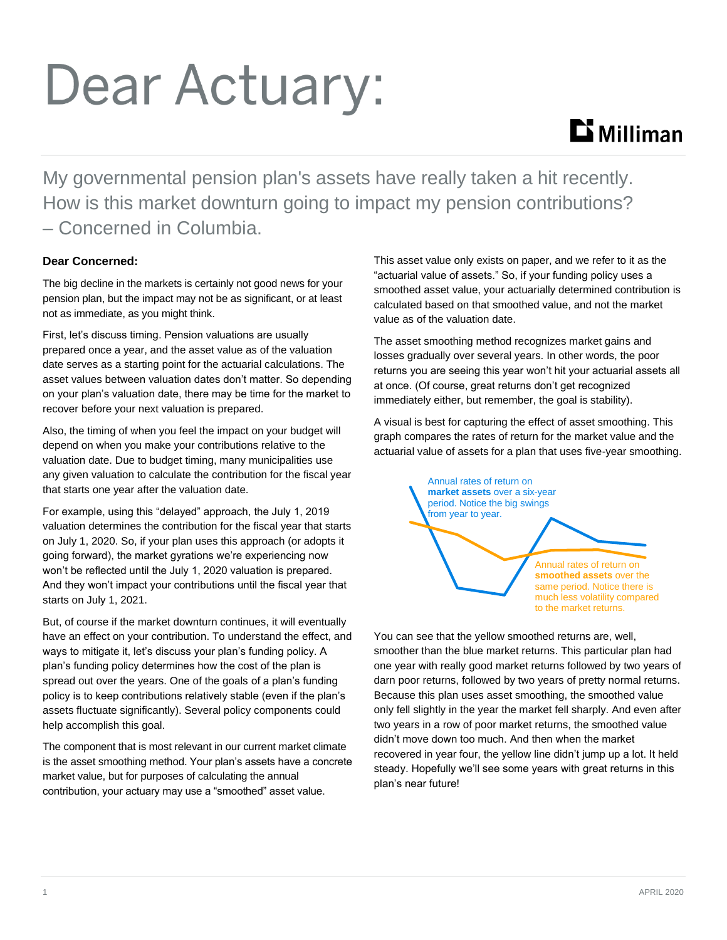# Dear Actuary:

## $\mathbf{D}$  Milliman

My governmental pension plan's assets have really taken a hit recently. How is this market downturn going to impact my pension contributions? – Concerned in Columbia.

#### **Dear Concerned:**

The big decline in the markets is certainly not good news for your pension plan, but the impact may not be as significant, or at least not as immediate, as you might think.

First, let's discuss timing. Pension valuations are usually prepared once a year, and the asset value as of the valuation date serves as a starting point for the actuarial calculations. The asset values between valuation dates don't matter. So depending on your plan's valuation date, there may be time for the market to recover before your next valuation is prepared.

Also, the timing of when you feel the impact on your budget will depend on when you make your contributions relative to the valuation date. Due to budget timing, many municipalities use any given valuation to calculate the contribution for the fiscal year that starts one year after the valuation date.

For example, using this "delayed" approach, the July 1, 2019 valuation determines the contribution for the fiscal year that starts on July 1, 2020. So, if your plan uses this approach (or adopts it going forward), the market gyrations we're experiencing now won't be reflected until the July 1, 2020 valuation is prepared. And they won't impact your contributions until the fiscal year that starts on July 1, 2021.

But, of course if the market downturn continues, it will eventually have an effect on your contribution. To understand the effect, and ways to mitigate it, let's discuss your plan's funding policy. A plan's funding policy determines how the cost of the plan is spread out over the years. One of the goals of a plan's funding policy is to keep contributions relatively stable (even if the plan's assets fluctuate significantly). Several policy components could help accomplish this goal.

The component that is most relevant in our current market climate is the asset smoothing method. Your plan's assets have a concrete market value, but for purposes of calculating the annual contribution, your actuary may use a "smoothed" asset value.

This asset value only exists on paper, and we refer to it as the "actuarial value of assets." So, if your funding policy uses a smoothed asset value, your actuarially determined contribution is calculated based on that smoothed value, and not the market value as of the valuation date.

The asset smoothing method recognizes market gains and losses gradually over several years. In other words, the poor returns you are seeing this year won't hit your actuarial assets all at once. (Of course, great returns don't get recognized immediately either, but remember, the goal is stability).

A visual is best for capturing the effect of asset smoothing. This graph compares the rates of return for the market value and the actuarial value of assets for a plan that uses five-year smoothing.



You can see that the yellow smoothed returns are, well, smoother than the blue market returns. This particular plan had one year with really good market returns followed by two years of darn poor returns, followed by two years of pretty normal returns. Because this plan uses asset smoothing, the smoothed value only fell slightly in the year the market fell sharply. And even after two years in a row of poor market returns, the smoothed value didn't move down too much. And then when the market recovered in year four, the yellow line didn't jump up a lot. It held steady. Hopefully we'll see some years with great returns in this plan's near future!